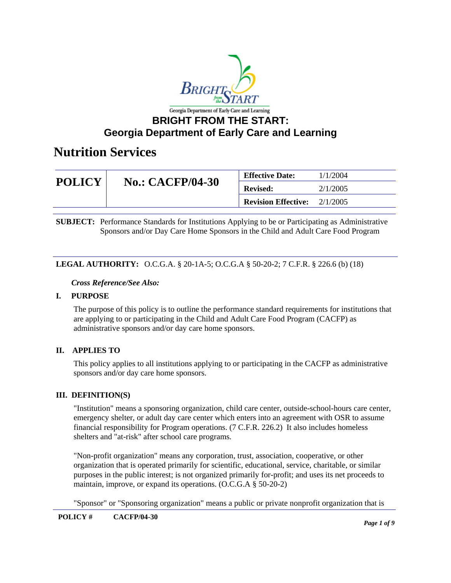

| <b>POLICY</b> | <b>No.: CACFP/04-30</b> | <b>Effective Date:</b>     | 1/1/2004 |
|---------------|-------------------------|----------------------------|----------|
|               |                         | <b>Revised:</b>            | 2/1/2005 |
|               |                         | <b>Revision Effective:</b> | 2/1/2005 |

**SUBJECT:** Performance Standards for Institutions Applying to be or Participating as Administrative Sponsors and/or Day Care Home Sponsors in the Child and Adult Care Food Program

### **LEGAL AUTHORITY:** O.C.G.A. § 20-1A-5; O.C.G.A § 50-20-2; 7 C.F.R. § 226.6 (b) (18)

#### *Cross Reference/See Also:*

### **I. PURPOSE**

The purpose of this policy is to outline the performance standard requirements for institutions that are applying to or participating in the Child and Adult Care Food Program (CACFP) as administrative sponsors and/or day care home sponsors.

### **II. APPLIES TO**

This policy applies to all institutions applying to or participating in the CACFP as administrative sponsors and/or day care home sponsors.

#### **III. DEFINITION(S)**

"Institution" means a sponsoring organization, child care center, outside-school-hours care center, emergency shelter, or adult day care center which enters into an agreement with OSR to assume financial responsibility for Program operations. (7 C.F.R. 226.2) It also includes homeless shelters and "at-risk" after school care programs.

"Non-profit organization" means any corporation, trust, association, cooperative, or other organization that is operated primarily for scientific, educational, service, charitable, or similar purposes in the public interest; is not organized primarily for-profit; and uses its net proceeds to maintain, improve, or expand its operations. (O.C.G.A § 50-20-2)

"Sponsor" or "Sponsoring organization" means a public or private nonprofit organization that is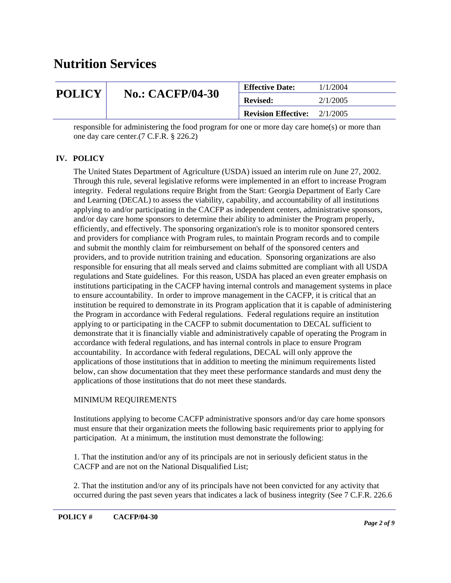| <b>POLICY</b> | <b>No.: CACFP/04-30</b> | <b>Effective Date:</b>     | 1/1/2004 |
|---------------|-------------------------|----------------------------|----------|
|               |                         | <b>Revised:</b>            | 2/1/2005 |
|               |                         | <b>Revision Effective:</b> | 2/1/2005 |

responsible for administering the food program for one or more day care home(s) or more than one day care center.(7 C.F.R. § 226.2)

### **IV. POLICY**

The United States Department of Agriculture (USDA) issued an interim rule on June 27, 2002. Through this rule, several legislative reforms were implemented in an effort to increase Program integrity. Federal regulations require Bright from the Start: Georgia Department of Early Care and Learning (DECAL) to assess the viability, capability, and accountability of all institutions applying to and/or participating in the CACFP as independent centers, administrative sponsors, and/or day care home sponsors to determine their ability to administer the Program properly, efficiently, and effectively. The sponsoring organization's role is to monitor sponsored centers and providers for compliance with Program rules, to maintain Program records and to compile and submit the monthly claim for reimbursement on behalf of the sponsored centers and providers, and to provide nutrition training and education. Sponsoring organizations are also responsible for ensuring that all meals served and claims submitted are compliant with all USDA regulations and State guidelines. For this reason, USDA has placed an even greater emphasis on institutions participating in the CACFP having internal controls and management systems in place to ensure accountability. In order to improve management in the CACFP, it is critical that an institution be required to demonstrate in its Program application that it is capable of administering the Program in accordance with Federal regulations. Federal regulations require an institution applying to or participating in the CACFP to submit documentation to DECAL sufficient to demonstrate that it is financially viable and administratively capable of operating the Program in accordance with federal regulations, and has internal controls in place to ensure Program accountability. In accordance with federal regulations, DECAL will only approve the applications of those institutions that in addition to meeting the minimum requirements listed below, can show documentation that they meet these performance standards and must deny the applications of those institutions that do not meet these standards.

#### MINIMUM REQUIREMENTS

Institutions applying to become CACFP administrative sponsors and/or day care home sponsors must ensure that their organization meets the following basic requirements prior to applying for participation. At a minimum, the institution must demonstrate the following:

1. That the institution and/or any of its principals are not in seriously deficient status in the CACFP and are not on the National Disqualified List;

2. That the institution and/or any of its principals have not been convicted for any activity that occurred during the past seven years that indicates a lack of business integrity (See 7 C.F.R. 226.6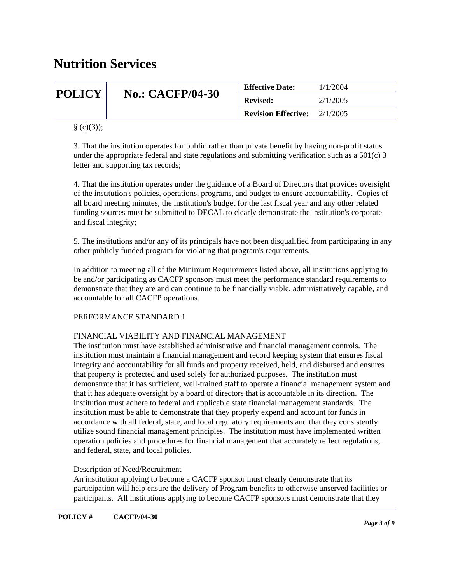| <b>POLICY</b> | <b>No.: CACFP/04-30</b> | <b>Effective Date:</b>     | 1/1/2004 |
|---------------|-------------------------|----------------------------|----------|
|               |                         | <b>Revised:</b>            | 2/1/2005 |
|               |                         | <b>Revision Effective:</b> | 2/1/2005 |

 $\S$  (c)(3));

3. That the institution operates for public rather than private benefit by having non-profit status under the appropriate federal and state regulations and submitting verification such as a  $501(c)$  3 letter and supporting tax records;

4. That the institution operates under the guidance of a Board of Directors that provides oversight of the institution's policies, operations, programs, and budget to ensure accountability. Copies of all board meeting minutes, the institution's budget for the last fiscal year and any other related funding sources must be submitted to DECAL to clearly demonstrate the institution's corporate and fiscal integrity;

5. The institutions and/or any of its principals have not been disqualified from participating in any other publicly funded program for violating that program's requirements.

In addition to meeting all of the Minimum Requirements listed above, all institutions applying to be and/or participating as CACFP sponsors must meet the performance standard requirements to demonstrate that they are and can continue to be financially viable, administratively capable, and accountable for all CACFP operations.

#### PERFORMANCE STANDARD 1

### FINANCIAL VIABILITY AND FINANCIAL MANAGEMENT

The institution must have established administrative and financial management controls. The institution must maintain a financial management and record keeping system that ensures fiscal integrity and accountability for all funds and property received, held, and disbursed and ensures that property is protected and used solely for authorized purposes. The institution must demonstrate that it has sufficient, well-trained staff to operate a financial management system and that it has adequate oversight by a board of directors that is accountable in its direction. The institution must adhere to federal and applicable state financial management standards. The institution must be able to demonstrate that they properly expend and account for funds in accordance with all federal, state, and local regulatory requirements and that they consistently utilize sound financial management principles. The institution must have implemented written operation policies and procedures for financial management that accurately reflect regulations, and federal, state, and local policies.

#### Description of Need/Recruitment

An institution applying to become a CACFP sponsor must clearly demonstrate that its participation will help ensure the delivery of Program benefits to otherwise unserved facilities or participants. All institutions applying to become CACFP sponsors must demonstrate that they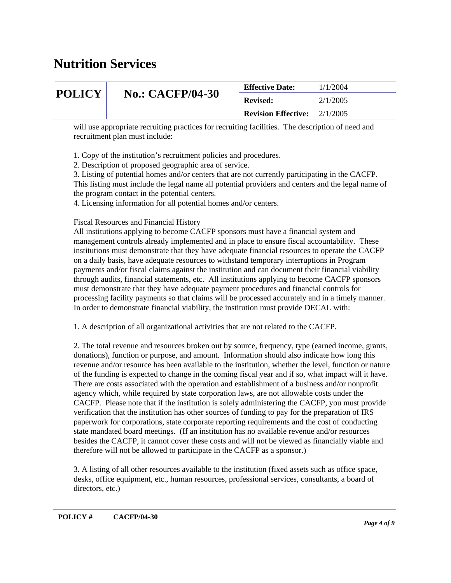| <b>POLICY</b> | <b>No.: CACFP/04-30</b> | <b>Effective Date:</b>     | 1/1/2004 |
|---------------|-------------------------|----------------------------|----------|
|               |                         | <b>Revised:</b>            | 2/1/2005 |
|               |                         | <b>Revision Effective:</b> | 2/1/2005 |

will use appropriate recruiting practices for recruiting facilities. The description of need and recruitment plan must include:

1. Copy of the institution's recruitment policies and procedures.

2. Description of proposed geographic area of service.

3. Listing of potential homes and/or centers that are not currently participating in the CACFP. This listing must include the legal name all potential providers and centers and the legal name of the program contact in the potential centers.

4. Licensing information for all potential homes and/or centers.

Fiscal Resources and Financial History

All institutions applying to become CACFP sponsors must have a financial system and management controls already implemented and in place to ensure fiscal accountability. These institutions must demonstrate that they have adequate financial resources to operate the CACFP on a daily basis, have adequate resources to withstand temporary interruptions in Program payments and/or fiscal claims against the institution and can document their financial viability through audits, financial statements, etc. All institutions applying to become CACFP sponsors must demonstrate that they have adequate payment procedures and financial controls for processing facility payments so that claims will be processed accurately and in a timely manner. In order to demonstrate financial viability, the institution must provide DECAL with:

1. A description of all organizational activities that are not related to the CACFP.

2. The total revenue and resources broken out by source, frequency, type (earned income, grants, donations), function or purpose, and amount. Information should also indicate how long this revenue and/or resource has been available to the institution, whether the level, function or nature of the funding is expected to change in the coming fiscal year and if so, what impact will it have. There are costs associated with the operation and establishment of a business and/or nonprofit agency which, while required by state corporation laws, are not allowable costs under the CACFP. Please note that if the institution is solely administering the CACFP, you must provide verification that the institution has other sources of funding to pay for the preparation of IRS paperwork for corporations, state corporate reporting requirements and the cost of conducting state mandated board meetings. (If an institution has no available revenue and/or resources besides the CACFP, it cannot cover these costs and will not be viewed as financially viable and therefore will not be allowed to participate in the CACFP as a sponsor.)

3. A listing of all other resources available to the institution (fixed assets such as office space, desks, office equipment, etc., human resources, professional services, consultants, a board of directors, etc.)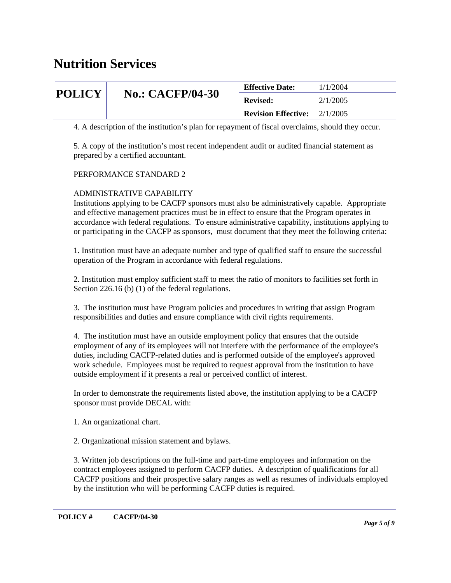| <b>POLICY</b> | <b>No.: CACFP/04-30</b> | <b>Effective Date:</b>     | 1/1/2004 |
|---------------|-------------------------|----------------------------|----------|
|               |                         | <b>Revised:</b>            | 2/1/2005 |
|               |                         | <b>Revision Effective:</b> | 2/1/2005 |

4. A description of the institution's plan for repayment of fiscal overclaims, should they occur.

5. A copy of the institution's most recent independent audit or audited financial statement as prepared by a certified accountant.

### PERFORMANCE STANDARD 2

#### ADMINISTRATIVE CAPABILITY

Institutions applying to be CACFP sponsors must also be administratively capable. Appropriate and effective management practices must be in effect to ensure that the Program operates in accordance with federal regulations. To ensure administrative capability, institutions applying to or participating in the CACFP as sponsors, must document that they meet the following criteria:

1. Institution must have an adequate number and type of qualified staff to ensure the successful operation of the Program in accordance with federal regulations.

2. Institution must employ sufficient staff to meet the ratio of monitors to facilities set forth in Section 226.16 (b) (1) of the federal regulations.

3. The institution must have Program policies and procedures in writing that assign Program responsibilities and duties and ensure compliance with civil rights requirements.

4. The institution must have an outside employment policy that ensures that the outside employment of any of its employees will not interfere with the performance of the employee's duties, including CACFP-related duties and is performed outside of the employee's approved work schedule. Employees must be required to request approval from the institution to have outside employment if it presents a real or perceived conflict of interest.

In order to demonstrate the requirements listed above, the institution applying to be a CACFP sponsor must provide DECAL with:

1. An organizational chart.

2. Organizational mission statement and bylaws.

3. Written job descriptions on the full-time and part-time employees and information on the contract employees assigned to perform CACFP duties. A description of qualifications for all CACFP positions and their prospective salary ranges as well as resumes of individuals employed by the institution who will be performing CACFP duties is required.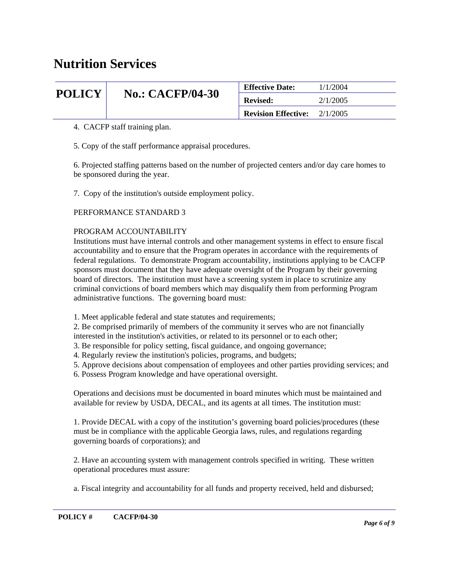| <b>POLICY</b> | <b>No.: CACFP/04-30</b> | <b>Effective Date:</b>     | 1/1/2004 |
|---------------|-------------------------|----------------------------|----------|
|               |                         | <b>Revised:</b>            | 2/1/2005 |
|               |                         | <b>Revision Effective:</b> | 2/1/2005 |

4. CACFP staff training plan.

5. Copy of the staff performance appraisal procedures.

6. Projected staffing patterns based on the number of projected centers and/or day care homes to be sponsored during the year.

7. Copy of the institution's outside employment policy.

#### PERFORMANCE STANDARD 3

#### PROGRAM ACCOUNTABILITY

Institutions must have internal controls and other management systems in effect to ensure fiscal accountability and to ensure that the Program operates in accordance with the requirements of federal regulations. To demonstrate Program accountability, institutions applying to be CACFP sponsors must document that they have adequate oversight of the Program by their governing board of directors. The institution must have a screening system in place to scrutinize any criminal convictions of board members which may disqualify them from performing Program administrative functions. The governing board must:

- 1. Meet applicable federal and state statutes and requirements;
- 2. Be comprised primarily of members of the community it serves who are not financially
- interested in the institution's activities, or related to its personnel or to each other;
- 3. Be responsible for policy setting, fiscal guidance, and ongoing governance;
- 4. Regularly review the institution's policies, programs, and budgets;
- 5. Approve decisions about compensation of employees and other parties providing services; and
- 6. Possess Program knowledge and have operational oversight.

Operations and decisions must be documented in board minutes which must be maintained and available for review by USDA, DECAL, and its agents at all times. The institution must:

1. Provide DECAL with a copy of the institution's governing board policies/procedures (these must be in compliance with the applicable Georgia laws, rules, and regulations regarding governing boards of corporations); and

2. Have an accounting system with management controls specified in writing. These written operational procedures must assure:

a. Fiscal integrity and accountability for all funds and property received, held and disbursed;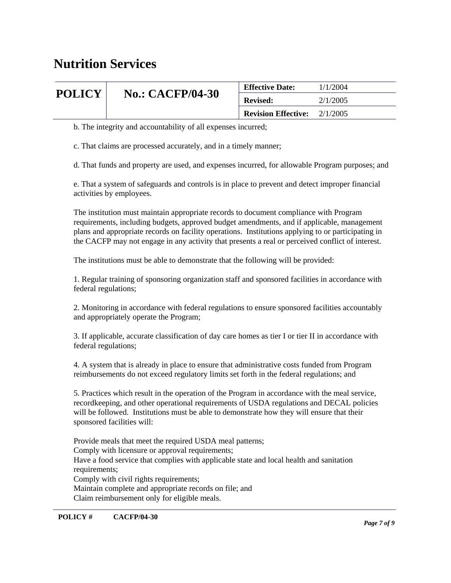| <b>POLICY</b> | <b>No.: CACFP/04-30</b> | <b>Effective Date:</b>     | 1/1/2004 |
|---------------|-------------------------|----------------------------|----------|
|               |                         | <b>Revised:</b>            | 2/1/2005 |
|               |                         | <b>Revision Effective:</b> | 2/1/2005 |

b. The integrity and accountability of all expenses incurred;

c. That claims are processed accurately, and in a timely manner;

d. That funds and property are used, and expenses incurred, for allowable Program purposes; and

e. That a system of safeguards and controls is in place to prevent and detect improper financial activities by employees.

The institution must maintain appropriate records to document compliance with Program requirements, including budgets, approved budget amendments, and if applicable, management plans and appropriate records on facility operations. Institutions applying to or participating in the CACFP may not engage in any activity that presents a real or perceived conflict of interest.

The institutions must be able to demonstrate that the following will be provided:

1. Regular training of sponsoring organization staff and sponsored facilities in accordance with federal regulations;

2. Monitoring in accordance with federal regulations to ensure sponsored facilities accountably and appropriately operate the Program;

3. If applicable, accurate classification of day care homes as tier I or tier II in accordance with federal regulations;

4. A system that is already in place to ensure that administrative costs funded from Program reimbursements do not exceed regulatory limits set forth in the federal regulations; and

5. Practices which result in the operation of the Program in accordance with the meal service, recordkeeping, and other operational requirements of USDA regulations and DECAL policies will be followed. Institutions must be able to demonstrate how they will ensure that their sponsored facilities will:

Provide meals that meet the required USDA meal patterns; Comply with licensure or approval requirements; Have a food service that complies with applicable state and local health and sanitation requirements; Comply with civil rights requirements; Maintain complete and appropriate records on file; and Claim reimbursement only for eligible meals.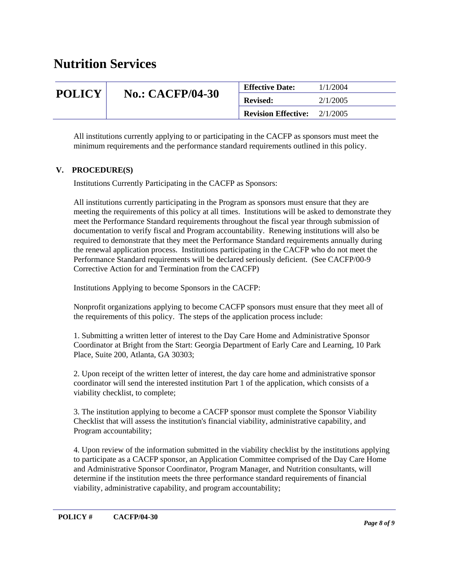| <b>POLICY</b> | <b>No.: CACFP/04-30</b> | <b>Effective Date:</b>     | 1/1/2004 |
|---------------|-------------------------|----------------------------|----------|
|               |                         | <b>Revised:</b>            | 2/1/2005 |
|               |                         | <b>Revision Effective:</b> | 2/1/2005 |

All institutions currently applying to or participating in the CACFP as sponsors must meet the minimum requirements and the performance standard requirements outlined in this policy.

### **V. PROCEDURE(S)**

Institutions Currently Participating in the CACFP as Sponsors:

All institutions currently participating in the Program as sponsors must ensure that they are meeting the requirements of this policy at all times. Institutions will be asked to demonstrate they meet the Performance Standard requirements throughout the fiscal year through submission of documentation to verify fiscal and Program accountability. Renewing institutions will also be required to demonstrate that they meet the Performance Standard requirements annually during the renewal application process. Institutions participating in the CACFP who do not meet the Performance Standard requirements will be declared seriously deficient. (See CACFP/00-9 Corrective Action for and Termination from the CACFP)

Institutions Applying to become Sponsors in the CACFP:

Nonprofit organizations applying to become CACFP sponsors must ensure that they meet all of the requirements of this policy. The steps of the application process include:

1. Submitting a written letter of interest to the Day Care Home and Administrative Sponsor Coordinator at Bright from the Start: Georgia Department of Early Care and Learning, 10 Park Place, Suite 200, Atlanta, GA 30303;

2. Upon receipt of the written letter of interest, the day care home and administrative sponsor coordinator will send the interested institution Part 1 of the application, which consists of a viability checklist, to complete;

3. The institution applying to become a CACFP sponsor must complete the Sponsor Viability Checklist that will assess the institution's financial viability, administrative capability, and Program accountability;

4. Upon review of the information submitted in the viability checklist by the institutions applying to participate as a CACFP sponsor, an Application Committee comprised of the Day Care Home and Administrative Sponsor Coordinator, Program Manager, and Nutrition consultants, will determine if the institution meets the three performance standard requirements of financial viability, administrative capability, and program accountability;